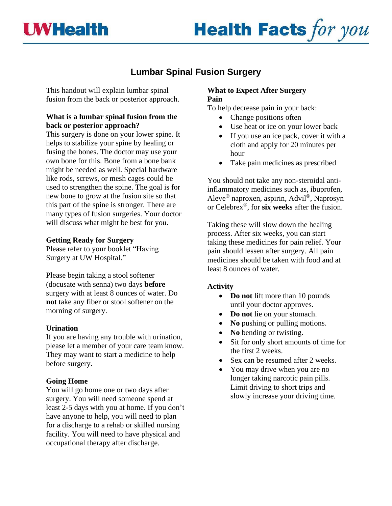



# **Lumbar Spinal Fusion Surgery**

This handout will explain lumbar spinal fusion from the back or posterior approach.

# **What is a lumbar spinal fusion from the back or posterior approach?**

This surgery is done on your lower spine. It helps to stabilize your spine by healing or fusing the bones. The doctor may use your own bone for this. Bone from a bone bank might be needed as well. Special hardware like rods, screws, or mesh cages could be used to strengthen the spine. The goal is for new bone to grow at the fusion site so that this part of the spine is stronger. There are many types of fusion surgeries. Your doctor will discuss what might be best for you.

## **Getting Ready for Surgery**

Please refer to your booklet "Having Surgery at UW Hospital."

Please begin taking a stool softener (docusate with senna) two days **before**  surgery with at least 8 ounces of water. Do **not** take any fiber or stool softener on the morning of surgery.

## **Urination**

If you are having any trouble with urination, please let a member of your care team know. They may want to start a medicine to help before surgery.

## **Going Home**

You will go home one or two days after surgery. You will need someone spend at least 2-5 days with you at home. If you don't have anyone to help, you will need to plan for a discharge to a rehab or skilled nursing facility. You will need to have physical and occupational therapy after discharge.

# **What to Expect After Surgery Pain**

To help decrease pain in your back:

- Change positions often
- Use heat or ice on your lower back
- If you use an ice pack, cover it with a cloth and apply for 20 minutes per hour
- Take pain medicines as prescribed

You should not take any non-steroidal antiinflammatory medicines such as, ibuprofen, Aleve® naproxen, aspirin, Advil®, Naprosyn or Celebrex®, for **six weeks** after the fusion.

Taking these will slow down the healing process. After six weeks, you can start taking these medicines for pain relief. Your pain should lessen after surgery. All pain medicines should be taken with food and at least 8 ounces of water.

# **Activity**

- **Do not** lift more than 10 pounds until your doctor approves.
- **Do not** lie on your stomach.
- **No** pushing or pulling motions.
- **No bending or twisting.**
- Sit for only short amounts of time for the first 2 weeks.
- Sex can be resumed after 2 weeks.
- You may drive when you are no longer taking narcotic pain pills. Limit driving to short trips and slowly increase your driving time.